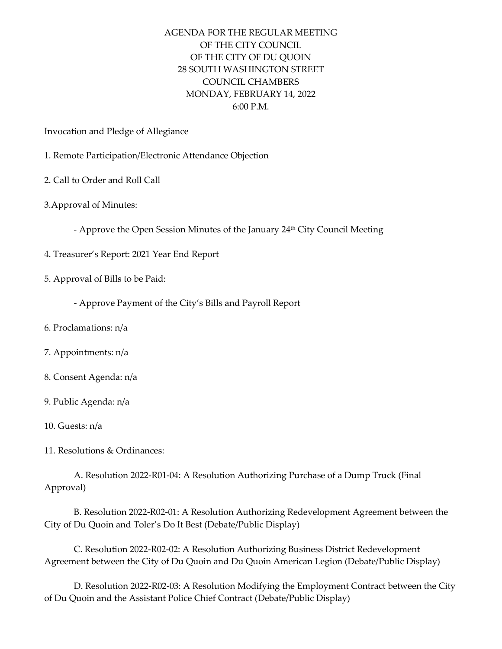## AGENDA FOR THE REGULAR MEETING OF THE CITY COUNCIL OF THE CITY OF DU QUOIN 28 SOUTH WASHINGTON STREET COUNCIL CHAMBERS MONDAY, FEBRUARY 14, 2022 6:00 P.M.

Invocation and Pledge of Allegiance

- 1. Remote Participation/Electronic Attendance Objection
- 2. Call to Order and Roll Call
- 3.Approval of Minutes:
	- Approve the Open Session Minutes of the January 24<sup>th</sup> City Council Meeting
- 4. Treasurer's Report: 2021 Year End Report
- 5. Approval of Bills to be Paid:
	- Approve Payment of the City's Bills and Payroll Report
- 6. Proclamations: n/a
- 7. Appointments: n/a
- 8. Consent Agenda: n/a
- 9. Public Agenda: n/a
- 10. Guests: n/a
- 11. Resolutions & Ordinances:

A. Resolution 2022-R01-04: A Resolution Authorizing Purchase of a Dump Truck (Final Approval)

B. Resolution 2022-R02-01: A Resolution Authorizing Redevelopment Agreement between the City of Du Quoin and Toler's Do It Best (Debate/Public Display)

C. Resolution 2022-R02-02: A Resolution Authorizing Business District Redevelopment Agreement between the City of Du Quoin and Du Quoin American Legion (Debate/Public Display)

D. Resolution 2022-R02-03: A Resolution Modifying the Employment Contract between the City of Du Quoin and the Assistant Police Chief Contract (Debate/Public Display)